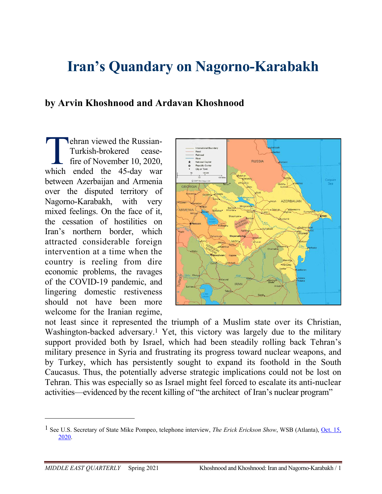# **Iran's Quandary on Nagorno-Karabakh**

## **by Arvin Khoshnood and Ardavan Khoshnood**

ehran viewed the Russian-Turkish-brokered ceasefire of November 10, 2020, **Example 12 The State of November 10, 2020,**<br>
Turkish-brokered cease-<br>
fire of November 10, 2020,<br>
which ended the 45-day war between Azerbaijan and Armenia over the disputed territory of Nagorno-Karabakh, with very mixed feelings. On the face of it, the cessation of hostilities on Iran's northern border, which attracted considerable foreign intervention at a time when the country is reeling from dire economic problems, the ravages of the COVID-19 pandemic, and lingering domestic restiveness should not have been more welcome for the Iranian regime,



not least since it represented the triumph of a Muslim state over its Christian, Washington-backed adversary.<sup>1</sup> Yet, this victory was largely due to the military support provided both by Israel, which had been steadily rolling back Tehran's military presence in Syria and frustrating its progress toward nuclear weapons, and by Turkey, which has persistently sought to expand its foothold in the South Caucasus. Thus, the potentially adverse strategic implications could not be lost on Tehran. This was especially so as Israel might feel forced to escalate its anti-nuclear activities—evidenced by the recent killing of "the architect of Iran's nuclear program"

-

<sup>&</sup>lt;sup>1</sup> See U.S. Secretary of State Mike Pompeo, telephone interview, *The Erick Erickson Show*, WSB (Atlanta), *Oct.* 15, 2020.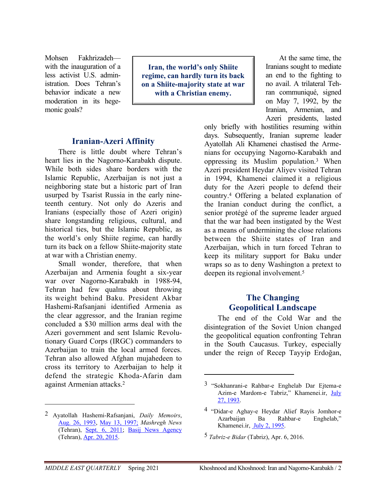Mohsen Fakhrizadeh with the inauguration of a less activist U.S. administration. Does Tehran's behavior indicate a new moderation in its hegemonic goals?

**Iran, the world's only Shiite regime, can hardly turn its back on a Shiite-majority state at war with a Christian enemy.** 

### **Iranian-Azeri Affinity**

There is little doubt where Tehran's heart lies in the Nagorno-Karabakh dispute. While both sides share borders with the Islamic Republic, Azerbaijan is not just a neighboring state but a historic part of Iran usurped by Tsarist Russia in the early nineteenth century. Not only do Azeris and Iranians (especially those of Azeri origin) share longstanding religious, cultural, and historical ties, but the Islamic Republic, as the world's only Shiite regime, can hardly turn its back on a fellow Shiite-majority state at war with a Christian enemy.

Small wonder, therefore, that when Azerbaijan and Armenia fought a six-year war over Nagorno-Karabakh in 1988-94, Tehran had few qualms about throwing its weight behind Baku. President Akbar Hashemi-Rafsanjani identified Armenia as the clear aggressor, and the Iranian regime concluded a \$30 million arms deal with the Azeri government and sent Islamic Revolutionary Guard Corps (IRGC) commanders to Azerbaijan to train the local armed forces. Tehran also allowed Afghan mujahedeen to cross its territory to Azerbaijan to help it defend the strategic Khoda-Afarin dam against Armenian attacks.<sup>2</sup>

At the same time, the Iranians sought to mediate an end to the fighting to no avail. A trilateral Tehran communiqué, signed on May 7, 1992, by the Iranian, Armenian, and Azeri presidents, lasted

only briefly with hostilities resuming within days. Subsequently, Iranian supreme leader Ayatollah Ali Khamenei chastised the Armenians for occupying Nagorno-Karabakh and oppressing its Muslim population.<sup>3</sup> When Azeri president Heydar Aliyev visited Tehran in 1994, Khamenei claimed it a religious duty for the Azeri people to defend their country.<sup>4</sup> Offering a belated explanation of the Iranian conduct during the conflict, a senior protégé of the supreme leader argued that the war had been instigated by the West as a means of undermining the close relations between the Shiite states of Iran and Azerbaijan, which in turn forced Tehran to keep its military support for Baku under wraps so as to deny Washington a pretext to deepen its regional involvement.<sup>5</sup>

### **The Changing Geopolitical Landscape**

The end of the Cold War and the disintegration of the Soviet Union changed the geopolitical equation confronting Tehran in the South Caucasus. Turkey, especially under the reign of Recep Tayyip Erdoğan,

 $\overline{a}$ 

<sup>2</sup> Ayatollah Hashemi-Rafsanjani, *Daily Memoirs*, Aug. 26, 1993, May 13, 1997; *Mashregh News* (Tehran), Sept. 6, 2011; Basij News Agency (Tehran), Apr. 20, 2015.

<sup>3 &</sup>quot;Sokhanrani-e Rahbar-e Enghelab Dar Ejtema-e Azim-e Mardom-e Tabriz," Khamenei.ir, July 27, 1993.

<sup>4 &</sup>quot;Didar-e Aghay-e Heydar Alief Rayis Jomhor-e Azarbaijan Ba Rahbar-e Enghelab," Khamenei.ir, July 2, 1995.

<sup>5</sup> *Tabriz-e Bidar* (Tabriz), Apr. 6, 2016.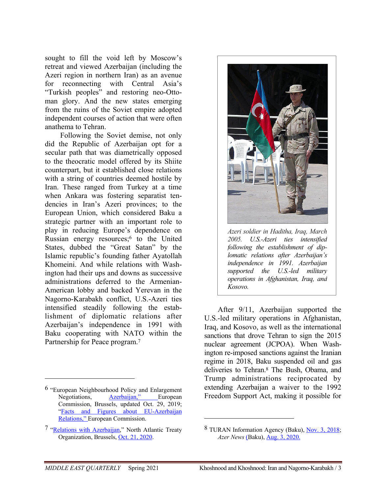sought to fill the void left by Moscow's retreat and viewed Azerbaijan (including the Azeri region in northern Iran) as an avenue for reconnecting with Central Asia's "Turkish peoples" and restoring neo-Ottoman glory. And the new states emerging from the ruins of the Soviet empire adopted independent courses of action that were often anathema to Tehran.

 Following the Soviet demise, not only did the Republic of Azerbaijan opt for a secular path that was diametrically opposed to the theocratic model offered by its Shiite counterpart, but it established close relations with a string of countries deemed hostile by Iran. These ranged from Turkey at a time when Ankara was fostering separatist tendencies in Iran's Azeri provinces; to the European Union, which considered Baku a strategic partner with an important role to play in reducing Europe's dependence on Russian energy resources;<sup>6</sup> to the United States, dubbed the "Great Satan" by the Islamic republic's founding father Ayatollah Khomeini. And while relations with Washington had their ups and downs as successive administrations deferred to the Armenian-American lobby and backed Yerevan in the Nagorno-Karabakh conflict, U.S.-Azeri ties intensified steadily following the establishment of diplomatic relations after Azerbaijan's independence in 1991 with Baku cooperating with NATO within the Partnership for Peace program.<sup>7</sup>



*Azeri soldier in Haditha, Iraq, March 2005. U.S.-Azeri ties intensified following the establishment of diplomatic relations after Azerbaijan's independence in 1991. Azerbaijan supported the U.S.-led military operations in Afghanistan, Iraq, and Kosovo.*

After 9/11, Azerbaijan supported the U.S.-led military operations in Afghanistan, Iraq, and Kosovo, as well as the international sanctions that drove Tehran to sign the 2015 nuclear agreement (JCPOA). When Washington re-imposed sanctions against the Iranian regime in 2018, Baku suspended oil and gas deliveries to Tehran.<sup>8</sup> The Bush, Obama, and Trump administrations reciprocated by extending Azerbaijan a waiver to the 1992 Freedom Support Act, making it possible for

 $\overline{a}$ 

<u>.</u>

<sup>6 &</sup>quot;European Neighbourhood Policy and Enlargement Negotiations, Azerbaijan," European Commission, Brussels, updated Oct. 29, 2019; "Facts and Figures about EU-Azerbaijan Relations," European Commission.

<sup>7 &</sup>quot;Relations with Azerbaijan," North Atlantic Treaty Organization, Brussels, Oct. 21, 2020.

<sup>8</sup> TURAN Information Agency (Baku), Nov. 3, 2018; *Azer News* (Baku), Aug. 3, 2020.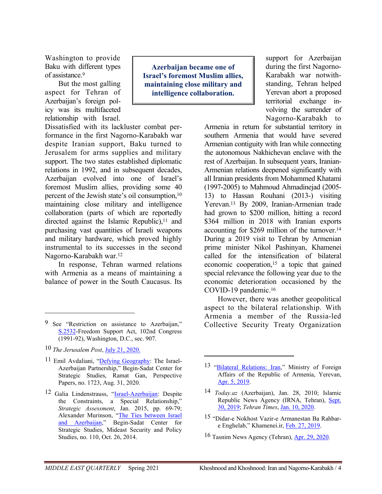Washington to provide Baku with different types of assistance.<sup>9</sup>

But the most galling aspect for Tehran of Azerbaijan's foreign policy was its multifaceted relationship with Israel.

Dissatisfied with its lackluster combat performance in the first Nagorno-Karabakh war despite Iranian support, Baku turned to Jerusalem for arms supplies and military support. The two states established diplomatic relations in 1992, and in subsequent decades, Azerbaijan evolved into one of Israel's foremost Muslim allies, providing some 40 percent of the Jewish state's oil consumption,<sup>10</sup> maintaining close military and intelligence collaboration (parts of which are reportedly directed against the Islamic Republic), $11$  and purchasing vast quantities of Israeli weapons and military hardware, which proved highly instrumental to its successes in the second Nagorno-Karabakh war.<sup>12</sup>

In response, Tehran warmed relations with Armenia as a means of maintaining a balance of power in the South Caucasus. Its

10 *The Jerusalem Post*, July 21, 2020.

l

- <sup>11</sup> Emil Avdaliani, "Defying Geography: The Israel-Azerbaijan Partnership," Begin-Sadat Center for Strategic Studies, Ramat Gan, Perspective Papers, no. 1723, Aug. 31, 2020.
- <sup>12</sup> Galia Lindenstrauss, "Israel-Azerbaijan: Despite the Constraints, a Special Relationship," *Strategic Assessment*, Jan. 2015, pp. 69-79; Alexander Murinson, "The Ties between Israel and Azerbaijan," Begin-Sadat Center for Strategic Studies, Mideast Security and Policy Studies, no. 110, Oct. 26, 2014.

**Azerbaijan became one of Israel's foremost Muslim allies, maintaining close military and intelligence collaboration.** 

l

support for Azerbaijan during the first Nagorno-Karabakh war notwithstanding, Tehran helped Yerevan abort a proposed territorial exchange involving the surrender of Nagorno-Karabakh to

Armenia in return for substantial territory in southern Armenia that would have severed Armenian contiguity with Iran while connecting the autonomous Nakhichevan enclave with the rest of Azerbaijan. In subsequent years, Iranian-Armenian relations deepened significantly with all Iranian presidents from Mohammed Khatami (1997-2005) to Mahmoud Ahmadinejad (2005- 13) to Hassan Rouhani (2013-) visiting Yerevan.13 By 2009, Iranian-Armenian trade had grown to \$200 million, hitting a record \$364 million in 2018 with Iranian exports accounting for \$269 million of the turnover.<sup>14</sup> During a 2019 visit to Tehran by Armenian prime minister Nikol Pashinyan, Khamenei called for the intensification of bilateral economic cooperation,15 a topic that gained special relevance the following year due to the economic deterioration occasioned by the COVID-19 pandemic.<sup>16</sup>

However, there was another geopolitical aspect to the bilateral relationship. With Armenia a member of the Russia-led Collective Security Treaty Organization

- 15 "Didar-e Nokhost Vazir-e Armanestan Ba Rahbare Enghelab," Khamenei.ir, Feb. 27, 2019.
- 16 Tasnim News Agency (Tehran), Apr. 29, 2020.

<sup>9</sup> See "Restriction on assistance to Azerbaijan," S.2532-Freedom Support Act, 102nd Congress (1991-92), Washington, D.C., sec. 907.

<sup>13 &</sup>quot;Bilateral Relations: Iran," Ministry of Foreign Affairs of the Republic of Armenia, Yerevan, Apr. 5, 2019.

<sup>14</sup> *Today.az* (Azerbaijan), Jan. 28, 2010; Islamic Republic News Agency (IRNA, Tehran), Sept. 30, 2019; *Tehran Times*, Jan. 10, 2020.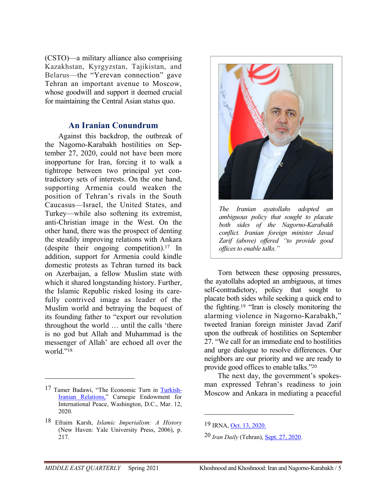(CSTO)—a military alliance also comprising Kazakhstan, Kyrgyzstan, Tajikistan, and Belarus—the "Yerevan connection" gave Tehran an important avenue to Moscow, whose goodwill and support it deemed crucial for maintaining the Central Asian status quo.

#### **An Iranian Conundrum**

Against this backdrop, the outbreak of the Nagorno-Karabakh hostilities on September 27, 2020, could not have been more inopportune for Iran, forcing it to walk a tightrope between two principal yet contradictory sets of interests. On the one hand, supporting Armenia could weaken the position of Tehran's rivals in the South Caucasus—Israel, the United States, and Turkey—while also softening its extremist, anti-Christian image in the West. On the other hand, there was the prospect of denting the steadily improving relations with Ankara (despite their ongoing competition).17 In addition, support for Armenia could kindle domestic protests as Tehran turned its back on Azerbaijan, a fellow Muslim state with which it shared longstanding history. Further, the Islamic Republic risked losing its carefully contrived image as leader of the Muslim world and betraying the bequest of its founding father to "export our revolution throughout the world … until the calls 'there is no god but Allah and Muhammad is the messenger of Allah' are echoed all over the world."<sup>18</sup>

<u>.</u>



*The Iranian ayatollahs adopted an ambiguous policy that sought to placate both sides of the Nagorno-Karabakh conflict. Iranian foreign minister Javad Zarif (above) offered "to provide good offices to enable talks."*

Torn between these opposing pressures, the ayatollahs adopted an ambiguous, at times self-contradictory, policy that sought to placate both sides while seeking a quick end to the fighting.19 "Iran is closely monitoring the alarming violence in Nagorno-Karabakh," tweeted Iranian foreign minister Javad Zarif upon the outbreak of hostilities on September 27. "We call for an immediate end to hostilities and urge dialogue to resolve differences. Our neighbors are our priority and we are ready to provide good offices to enable talks."<sup>20</sup>

The next day, the government's spokesman expressed Tehran's readiness to join Moscow and Ankara in mediating a peaceful

<sup>17</sup> Tamer Badawi, "The Economic Turn in Turkish-Iranian Relations," Carnegie Endowment for International Peace, Washington, D.C., Mar. 12, 2020.

<sup>18</sup> Efraim Karsh, *Islamic Imperialism: A History* (New Haven: Yale University Press, 2006), p. 217.

<sup>19</sup> IRNA, Oct. 13, 2020.

<sup>20</sup> *Iran Daily* (Tehran), Sept. 27, 2020.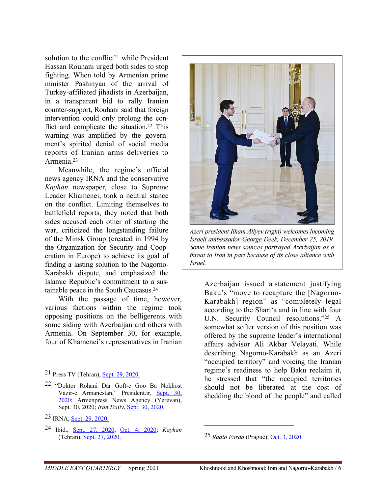solution to the conflict<sup>21</sup> while President Hassan Rouhani urged both sides to stop fighting. When told by Armenian prime minister Pashinyan of the arrival of Turkey-affiliated jihadists in Azerbaijan, in a transparent bid to rally Iranian counter-support, Rouhani said that foreign intervention could only prolong the conflict and complicate the situation.<sup>22</sup> This warning was amplified by the government's spirited denial of social media reports of Iranian arms deliveries to Armenia.<sup>23</sup>

Meanwhile, the regime's official news agency IRNA and the conservative *Kayhan* newspaper, close to Supreme Leader Khamenei, took a neutral stance on the conflict. Limiting themselves to battlefield reports, they noted that both sides accused each other of starting the war, criticized the longstanding failure of the Minsk Group (created in 1994 by the Organization for Security and Cooperation in Europe) to achieve its goal of finding a lasting solution to the Nagorno-Karabakh dispute, and emphasized the Islamic Republic's commitment to a sustainable peace in the South Caucasus.<sup>24</sup>

With the passage of time, however, various factions within the regime took opposing positions on the belligerents with some siding with Azerbaijan and others with Armenia. On September 30, for example, four of Khamenei's representatives in Iranian

<u>.</u>



*Azeri president Ilham Aliyev (right) welcomes incoming Israeli ambassador George Deek, December 25, 2019. Some Iranian news sources portrayed Azerbaijan as a threat to Iran in part because of its close alliance with Israel.*

Azerbaijan issued a statement justifying Baku's "move to recapture the [Nagorno-Karabakh] region" as "completely legal according to the Shari'a and in line with four U.N. Security Council resolutions."25 A somewhat softer version of this position was offered by the supreme leader's international affairs advisor Ali Akbar Velayati. While describing Nagorno-Karabakh as an Azeri "occupied territory" and voicing the Iranian regime's readiness to help Baku reclaim it, he stressed that "the occupied territories should not be liberated at the cost of shedding the blood of the people" and called

<sup>21</sup> Press TV (Tehran), Sept. 29, 2020.

<sup>22 &</sup>quot;Doktor Rohani Dar Goft-e Goo Ba Nokhost Vazir-e Armanestan," President.ir, Sept. 30, 2020; Armenpress News Agency (Yerevan), Sept. 30, 2020; *Iran Daily*, Sept. 30, 2020.

<sup>23</sup> IRNA, Sept. 29, 2020.

<sup>24</sup> Ibid., Sept. 27, 2020, Oct. 4, 2020; *Kayhan* (Tehran), Sept. 27, 2020.

<sup>25</sup> *Radio Farda* (Prague), Oct. 3, 2020.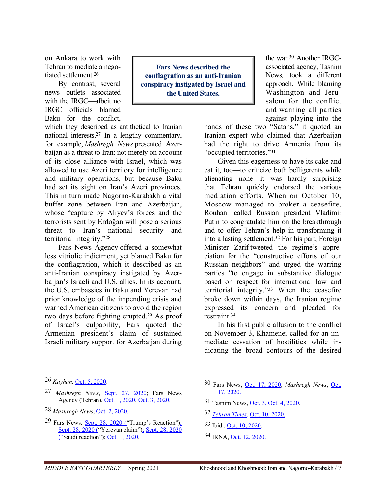on Ankara to work with Tehran to mediate a negotiated settlement.<sup>26</sup>

By contrast, several news outlets associated with the IRGC—albeit no IRGC officials—blamed Baku for the conflict,

**Fars News described the conflagration as an anti-Iranian conspiracy instigated by Israel and the United States.** 

which they described as antithetical to Iranian national interests.27 In a lengthy commentary, for example, *Mashregh News* presented Azerbaijan as a threat to Iran: not merely on account of its close alliance with Israel, which was allowed to use Azeri territory for intelligence and military operations, but because Baku had set its sight on Iran's Azeri provinces. This in turn made Nagorno-Karabakh a vital buffer zone between Iran and Azerbaijan, whose "capture by Aliyev's forces and the terrorists sent by Erdoğan will pose a serious threat to Iran's national security and territorial integrity."<sup>28</sup>

Fars News Agency offered a somewhat less vitriolic indictment, yet blamed Baku for the conflagration, which it described as an anti-Iranian conspiracy instigated by Azerbaijan's Israeli and U.S. allies. In its account, the U.S. embassies in Baku and Yerevan had prior knowledge of the impending crisis and warned American citizens to avoid the region two days before fighting erupted.29 As proof of Israel's culpability, Fars quoted the Armenian president's claim of sustained Israeli military support for Azerbaijan during

the war.30 Another IRGCassociated agency, Tasnim News*,* took a different approach. While blaming Washington and Jerusalem for the conflict and warning all parties against playing into the

hands of these two "Satans," it quoted an Iranian expert who claimed that Azerbaijan had the right to drive Armenia from its "occupied territories."<sup>31</sup>

Given this eagerness to have its cake and eat it, too—to criticize both belligerents while alienating none—it was hardly surprising that Tehran quickly endorsed the various mediation efforts. When on October 10, Moscow managed to broker a ceasefire, Rouhani called Russian president Vladimir Putin to congratulate him on the breakthrough and to offer Tehran's help in transforming it into a lasting settlement.32 For his part, Foreign Minister Zarif tweeted the regime's appreciation for the "constructive efforts of our Russian neighbors" and urged the warring parties "to engage in substantive dialogue based on respect for international law and territorial integrity."33 When the ceasefire broke down within days, the Iranian regime expressed its concern and pleaded for restraint.<sup>34</sup>

In his first public allusion to the conflict on November 3, Khamenei called for an immediate cessation of hostilities while indicating the broad contours of the desired

-

- 28 *Mashregh News*, Oct. 2, 2020.
- 29 Fars News, Sept. 28, 2020 ("Trump's Reaction"); Sept. 28, 2020 ("Yerevan claim"); Sept. 28, 2020 ("Saudi reaction"); Oct. 1, 2020.
- 30 Fars News, Oct. 17, 2020; *Mashregh News*, Oct. 17, 2020.
- 31 Tasnim News, Oct. 3, Oct. 4, 2020.
- 32 *Tehran Times*, Oct. 10, 2020.
- 33 Ibid., Oct. 10, 2020.

 $\overline{a}$ 

34 IRNA, Oct. 12, 2020.

<sup>26</sup> *Kayhan,* Oct. 5, 2020.

<sup>27</sup> *Mashregh News*, **Sept. 27, 2020**; Fars News Agency (Tehran), Oct. 1, 2020, Oct. 3, 2020.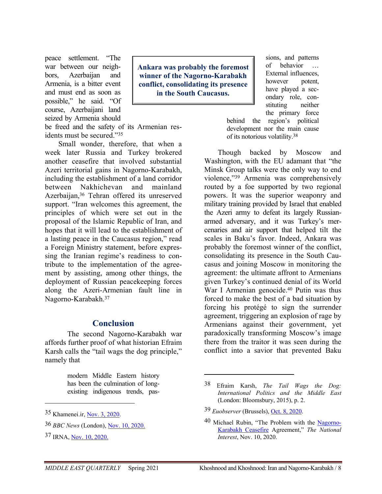peace settlement. "The war between our neighbors, Azerbaijan and Armenia, is a bitter event and must end as soon as possible," he said. "Of course, Azerbaijani land seized by Armenia should

**Ankara was probably the foremost winner of the Nagorno-Karabakh conflict, consolidating its presence in the South Caucasus.** 

sions, and patterns of behavior … External influences, however potent, have played a secondary role, constituting neither the primary force

behind the region's political development nor the main cause of its notorious volatility.<sup>38</sup>

Though backed by Moscow and Washington, with the EU adamant that "the Minsk Group talks were the only way to end violence,"39 Armenia was comprehensively routed by a foe supported by two regional powers. It was the superior weaponry and military training provided by Israel that enabled the Azeri army to defeat its largely Russianarmed adversary, and it was Turkey's mercenaries and air support that helped tilt the scales in Baku's favor. Indeed, Ankara was probably the foremost winner of the conflict, consolidating its presence in the South Caucasus and joining Moscow in monitoring the agreement: the ultimate affront to Armenians given Turkey's continued denial of its World War I Armenian genocide.<sup>40</sup> Putin was thus forced to make the best of a bad situation by forcing his protégé to sign the surrender agreement, triggering an explosion of rage by Armenians against their government, yet paradoxically transforming Moscow's image there from the traitor it was seen during the conflict into a savior that prevented Baku

be freed and the safety of its Armenian residents must be secured."<sup>35</sup>

Small wonder, therefore, that when a week later Russia and Turkey brokered another ceasefire that involved substantial Azeri territorial gains in Nagorno-Karabakh, including the establishment of a land corridor between Nakhichevan and mainland Azerbaijan,36 Tehran offered its unreserved support. "Iran welcomes this agreement, the principles of which were set out in the proposal of the Islamic Republic of Iran, and hopes that it will lead to the establishment of a lasting peace in the Caucasus region," read a Foreign Ministry statement, before expressing the Iranian regime's readiness to contribute to the implementation of the agreement by assisting, among other things, the deployment of Russian peacekeeping forces along the Azeri-Armenian fault line in Nagorno-Karabakh.<sup>37</sup>

#### **Conclusion**

 The second Nagorno-Karabakh war affords further proof of what historian Efraim Karsh calls the "tail wags the dog principle," namely that

> modern Middle Eastern history has been the culmination of longexisting indigenous trends, pas-

- 36 *BBC News* (London), Nov. 10, 2020.
- 37 IRNA, Nov. 10, 2020.

 $\overline{a}$ 

39 *Euobserver* (Brussels), Oct. 8, 2020.

<sup>35</sup> Khamenei.ir, Nov. 3, 2020.

<sup>38</sup> Efraim Karsh, *The Tail Wags the Dog: International Politics and the Middle East* (London: Bloomsbury, 2015), p. 2.

<sup>40</sup> Michael Rubin, "The Problem with the Nagorno-Karabakh Ceasefire Agreement," *The National Interest*, Nov. 10, 2020.